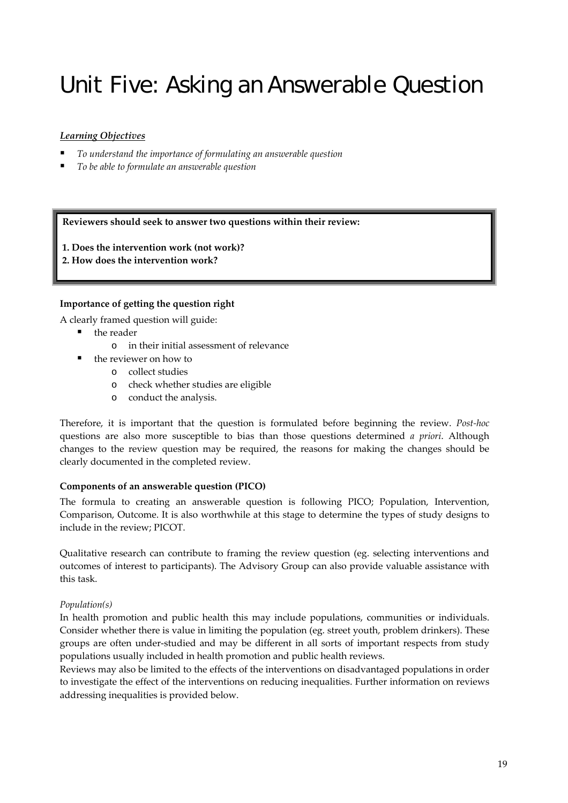# Unit Five: Asking an Answerable Question

# *Learning Objectives*

- *To understand the importance of formulating an answerable question*
- *To be able to formulate an answerable question*

#### **Reviewers should seek to answer two questions within their review:**

- **1. Does the intervention work (not work)?**
- **2. How does the intervention work?**

# **Importance of getting the question right**

A clearly framed question will guide:

- the reader
	- o in their initial assessment of relevance
	- the reviewer on how to
		- o collect studies
		- o check whether studies are eligible
		- o conduct the analysis.

Therefore, it is important that the question is formulated before beginning the review. *Post‐hoc* questions are also more susceptible to bias than those questions determined *a priori*. Although changes to the review question may be required, the reasons for making the changes should be clearly documented in the completed review.

#### **Components of an answerable question (PICO)**

The formula to creating an answerable question is following PICO; Population, Intervention, Comparison, Outcome. It is also worthwhile at this stage to determine the types of study designs to include in the review; PICOT.

Qualitative research can contribute to framing the review question (eg. selecting interventions and outcomes of interest to participants). The Advisory Group can also provide valuable assistance with this task.

#### *Population(s)*

In health promotion and public health this may include populations, communities or individuals. Consider whether there is value in limiting the population (eg. street youth, problem drinkers). These groups are often under‐studied and may be different in all sorts of important respects from study populations usually included in health promotion and public health reviews.

Reviews may also be limited to the effects of the interventions on disadvantaged populations in order to investigate the effect of the interventions on reducing inequalities. Further information on reviews addressing inequalities is provided below.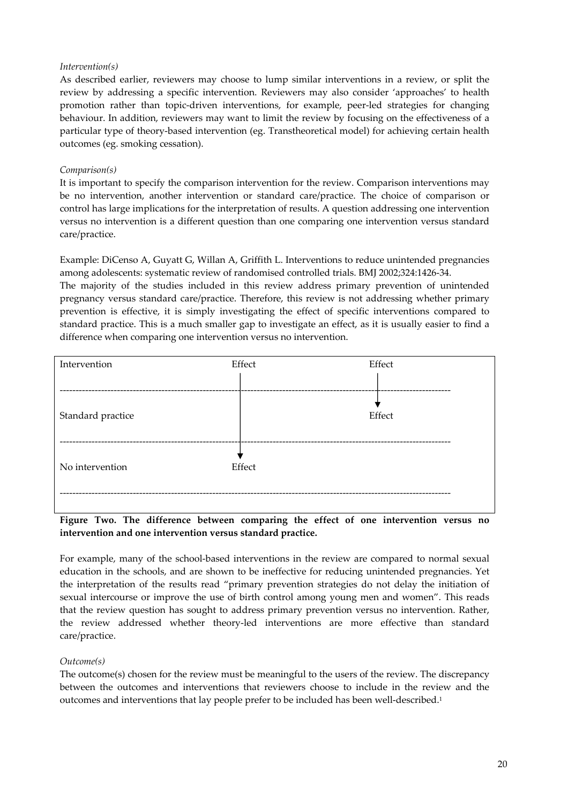#### *Intervention(s)*

As described earlier, reviewers may choose to lump similar interventions in a review, or split the review by addressing a specific intervention. Reviewers may also consider 'approaches' to health promotion rather than topic‐driven interventions, for example, peer‐led strategies for changing behaviour. In addition, reviewers may want to limit the review by focusing on the effectiveness of a particular type of theory‐based intervention (eg. Transtheoretical model) for achieving certain health outcomes (eg. smoking cessation).

#### *Comparison(s)*

It is important to specify the comparison intervention for the review. Comparison interventions may be no intervention, another intervention or standard care/practice. The choice of comparison or control has large implications for the interpretation of results. A question addressing one intervention versus no intervention is a different question than one comparing one intervention versus standard care/practice.

Example: DiCenso A, Guyatt G, Willan A, Griffith L. Interventions to reduce unintended pregnancies among adolescents: systematic review of randomised controlled trials. BMJ 2002;324:1426‐34.

The majority of the studies included in this review address primary prevention of unintended pregnancy versus standard care/practice. Therefore, this review is not addressing whether primary prevention is effective, it is simply investigating the effect of specific interventions compared to standard practice. This is a much smaller gap to investigate an effect, as it is usually easier to find a difference when comparing one intervention versus no intervention.



#### **Figure Two. The difference between comparing the effect of one intervention versus no intervention and one intervention versus standard practice.**

For example, many of the school-based interventions in the review are compared to normal sexual education in the schools, and are shown to be ineffective for reducing unintended pregnancies. Yet the interpretation of the results read "primary prevention strategies do not delay the initiation of sexual intercourse or improve the use of birth control among young men and women". This reads that the review question has sought to address primary prevention versus no intervention. Rather, the review addressed whether theory‐led interventions are more effective than standard care/practice.

#### *Outcome(s)*

The outcome(s) chosen for the review must be meaningful to the users of the review. The discrepancy between the outcomes and interventions that reviewers choose to include in the review and the outcomes and interventions that lay people prefer to be included has been well-described.<sup>1</sup>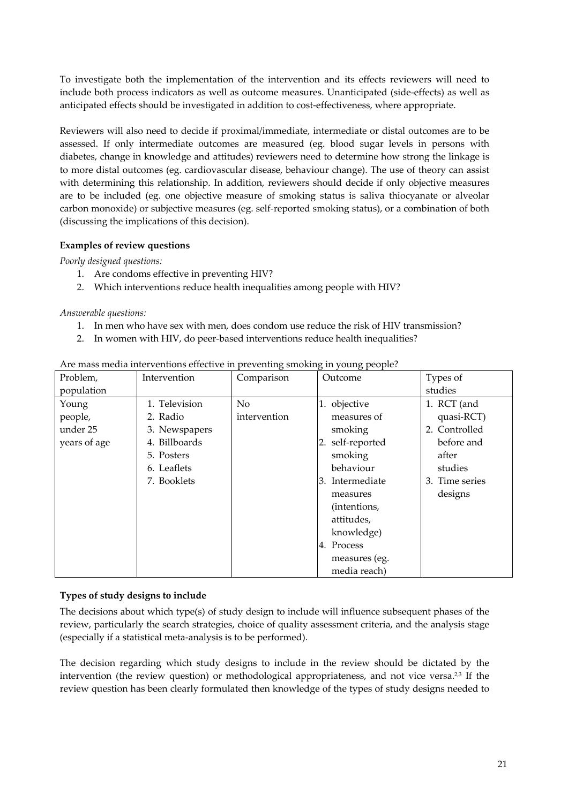To investigate both the implementation of the intervention and its effects reviewers will need to include both process indicators as well as outcome measures. Unanticipated (side‐effects) as well as anticipated effects should be investigated in addition to cost‐effectiveness, where appropriate.

Reviewers will also need to decide if proximal/immediate, intermediate or distal outcomes are to be assessed. If only intermediate outcomes are measured (eg. blood sugar levels in persons with diabetes, change in knowledge and attitudes) reviewers need to determine how strong the linkage is to more distal outcomes (eg. cardiovascular disease, behaviour change). The use of theory can assist with determining this relationship. In addition, reviewers should decide if only objective measures are to be included (eg. one objective measure of smoking status is saliva thiocyanate or alveolar carbon monoxide) or subjective measures (eg. self‐reported smoking status), or a combination of both (discussing the implications of this decision).

# **Examples of review questions**

*Poorly designed questions:*

- 1. Are condoms effective in preventing HIV?
- 2. Which interventions reduce health inequalities among people with HIV?

*Answerable questions:*

- 1. In men who have sex with men, does condom use reduce the risk of HIV transmission?
- 2. In women with HIV, do peer-based interventions reduce health inequalities?

| Problem,     | Intervention     | Comparison     | Outcome          | Types of       |
|--------------|------------------|----------------|------------------|----------------|
| population   |                  |                |                  | studies        |
| Young        | 1. Television    | N <sub>o</sub> | 1. objective     | 1. RCT (and    |
| people,      | 2. Radio         | intervention   | measures of      | quasi-RCT)     |
| under 25     | 3. Newspapers    |                | smoking          | 2. Controlled  |
| years of age | Billboards<br>4. |                | 2. self-reported | before and     |
|              | 5. Posters       |                | smoking          | after          |
|              | 6. Leaflets      |                | behaviour        | studies        |
|              | 7. Booklets      |                | 3. Intermediate  | 3. Time series |
|              |                  |                | measures         | designs        |
|              |                  |                | (intentions,     |                |
|              |                  |                | attitudes,       |                |
|              |                  |                | knowledge)       |                |
|              |                  |                | 4. Process       |                |
|              |                  |                | measures (eg.    |                |
|              |                  |                | media reach)     |                |

#### Are mass media interventions effective in preventing smoking in young people?

#### **Types of study designs to include**

The decisions about which type(s) of study design to include will influence subsequent phases of the review, particularly the search strategies, choice of quality assessment criteria, and the analysis stage (especially if a statistical meta‐analysis is to be performed).

The decision regarding which study designs to include in the review should be dictated by the intervention (the review question) or methodological appropriateness, and not vice versa.<sup>2,3</sup> If the review question has been clearly formulated then knowledge of the types of study designs needed to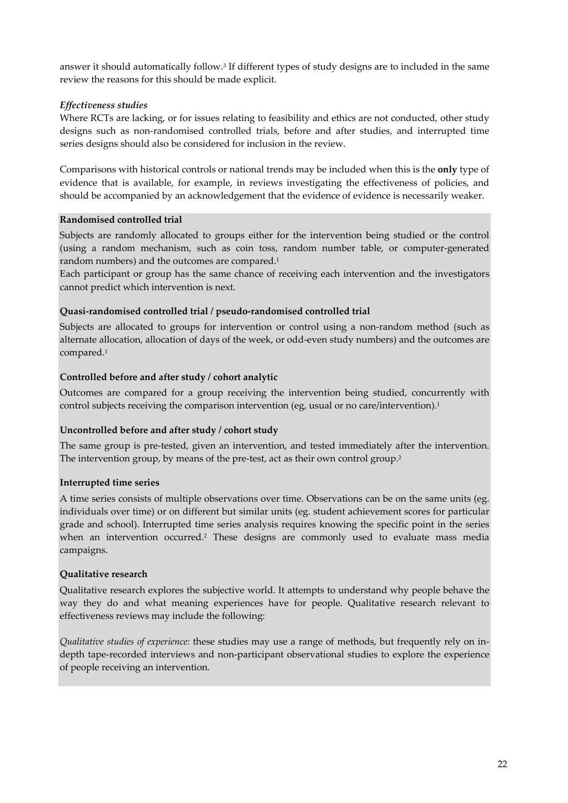answer it should automatically follow.3 If different types of study designs are to included in the same review the reasons for this should be made explicit.

# *Effectiveness studies*

Where RCTs are lacking, or for issues relating to feasibility and ethics are not conducted, other study designs such as non‐randomised controlled trials, before and after studies, and interrupted time series designs should also be considered for inclusion in the review.

Comparisons with historical controls or national trends may be included when this is the **only** type of evidence that is available, for example, in reviews investigating the effectiveness of policies, and should be accompanied by an acknowledgement that the evidence of evidence is necessarily weaker.

# **Randomised controlled trial**

Subjects are randomly allocated to groups either for the intervention being studied or the control (using a random mechanism, such as coin toss, random number table, or computer‐generated random numbers) and the outcomes are compared.1

Each participant or group has the same chance of receiving each intervention and the investigators cannot predict which intervention is next.

# **Quasi‐randomised controlled trial / pseudo‐randomised controlled trial**

Subjects are allocated to groups for intervention or control using a non-random method (such as alternate allocation, allocation of days of the week, or odd-even study numbers) and the outcomes are compared.1

# **Controlled before and after study / cohort analytic**

Outcomes are compared for a group receiving the intervention being studied, concurrently with control subjects receiving the comparison intervention (eg, usual or no care/intervention).<sup>1</sup>

# **Uncontrolled before and after study / cohort study**

The same group is pre-tested, given an intervention, and tested immediately after the intervention. The intervention group, by means of the pre-test, act as their own control group.<sup>2</sup>

# **Interrupted time series**

A time series consists of multiple observations over time. Observations can be on the same units (eg. individuals over time) or on different but similar units (eg. student achievement scores for particular grade and school). Interrupted time series analysis requires knowing the specific point in the series when an intervention occurred.2 These designs are commonly used to evaluate mass media campaigns.

# **Qualitative research**

Qualitative research explores the subjective world. It attempts to understand why people behave the way they do and what meaning experiences have for people. Qualitative research relevant to effectiveness reviews may include the following:

*Qualitative studies of experience:* these studies may use a range of methods, but frequently rely on in‐ depth tape‐recorded interviews and non‐participant observational studies to explore the experience of people receiving an intervention.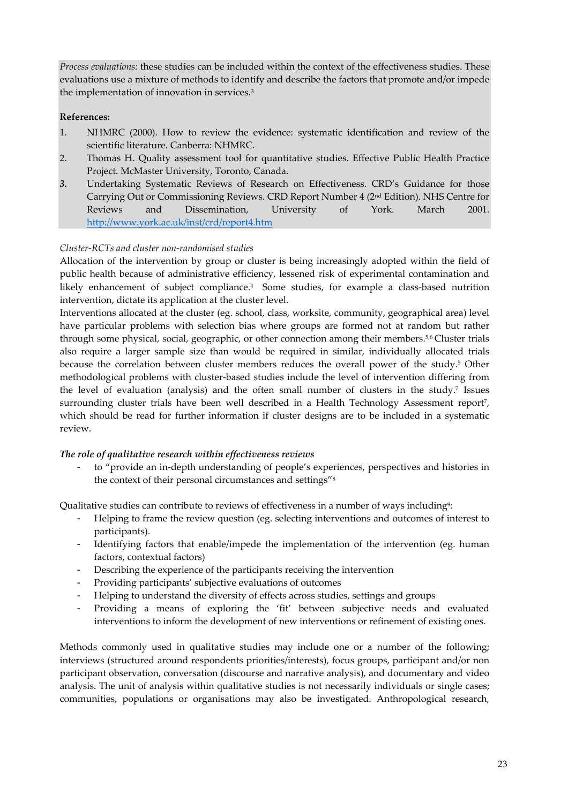*Process evaluations:* these studies can be included within the context of the effectiveness studies. These evaluations use a mixture of methods to identify and describe the factors that promote and/or impede the implementation of innovation in services.3

# **References:**

- 1. NHMRC (2000). How to review the evidence: systematic identification and review of the scientific literature. Canberra: NHMRC.
- 2. Thomas H. Quality assessment tool for quantitative studies. Effective Public Health Practice Project. McMaster University, Toronto, Canada.
- *3.* Undertaking Systematic Reviews of Research on Effectiveness. CRD's Guidance for those Carrying Out or Commissioning Reviews. CRD Report Number 4 (2nd Edition). NHS Centre for Reviews and Dissemination, University of York. March 2001. http://www.york.ac.uk/inst/crd/report4.htm

# *Cluster‐RCTs and cluster non‐randomised studies*

Allocation of the intervention by group or cluster is being increasingly adopted within the field of public health because of administrative efficiency, lessened risk of experimental contamination and likely enhancement of subject compliance.<sup>4</sup> Some studies, for example a class-based nutrition intervention, dictate its application at the cluster level.

Interventions allocated at the cluster (eg. school, class, worksite, community, geographical area) level have particular problems with selection bias where groups are formed not at random but rather through some physical, social, geographic, or other connection among their members.<sup>5,6</sup> Cluster trials also require a larger sample size than would be required in similar, individually allocated trials because the correlation between cluster members reduces the overall power of the study.5 Other methodological problems with cluster‐based studies include the level of intervention differing from the level of evaluation (analysis) and the often small number of clusters in the study.7 Issues surrounding cluster trials have been well described in a Health Technology Assessment report<sup>7</sup>, which should be read for further information if cluster designs are to be included in a systematic review.

#### *The role of qualitative research within effectiveness reviews*

to "provide an in-depth understanding of people's experiences, perspectives and histories in the context of their personal circumstances and settings"8

Qualitative studies can contribute to reviews of effectiveness in a number of ways including<sup>9</sup>:

- Helping to frame the review question (eg. selecting interventions and outcomes of interest to participants).
- Identifying factors that enable/impede the implementation of the intervention (eg. human factors, contextual factors)
- Describing the experience of the participants receiving the intervention
- Providing participants' subjective evaluations of outcomes
- Helping to understand the diversity of effects across studies, settings and groups
- Providing a means of exploring the 'fit' between subjective needs and evaluated interventions to inform the development of new interventions or refinement of existing ones.

Methods commonly used in qualitative studies may include one or a number of the following; interviews (structured around respondents priorities/interests), focus groups, participant and/or non participant observation, conversation (discourse and narrative analysis), and documentary and video analysis. The unit of analysis within qualitative studies is not necessarily individuals or single cases; communities, populations or organisations may also be investigated. Anthropological research,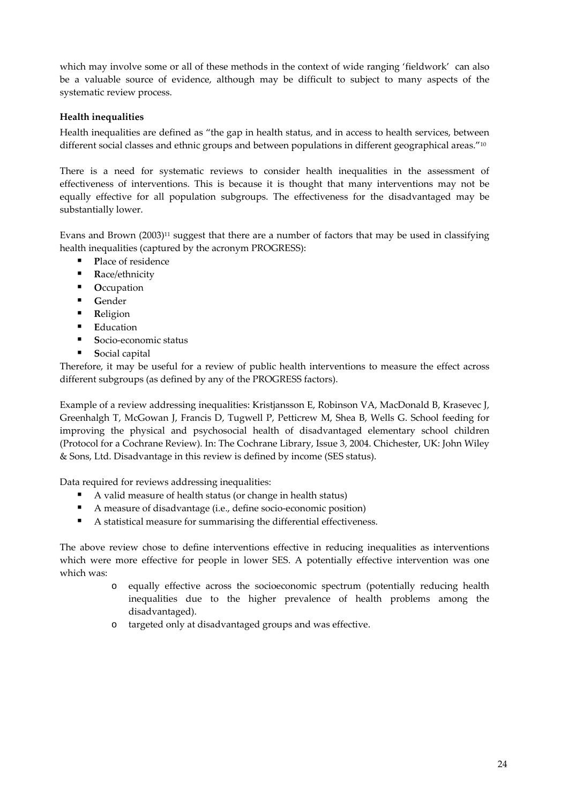which may involve some or all of these methods in the context of wide ranging 'fieldwork' can also be a valuable source of evidence, although may be difficult to subject to many aspects of the systematic review process.

# **Health inequalities**

Health inequalities are defined as "the gap in health status, and in access to health services, between different social classes and ethnic groups and between populations in different geographical areas."<sup>10</sup>

There is a need for systematic reviews to consider health inequalities in the assessment of effectiveness of interventions. This is because it is thought that many interventions may not be equally effective for all population subgroups. The effectiveness for the disadvantaged may be substantially lower.

Evans and Brown (2003)<sup>11</sup> suggest that there are a number of factors that may be used in classifying health inequalities (captured by the acronym PROGRESS):

- **P**lace of residence
- Race/ethnicity
- **C**CCUPation
- **G**ender
- **R**eligion
- **E**ducation
- **Socio-economic status**
- **S**ocial capital

Therefore, it may be useful for a review of public health interventions to measure the effect across different subgroups (as defined by any of the PROGRESS factors).

Example of a review addressing inequalities: Kristjansson E, Robinson VA, MacDonald B, Krasevec J, Greenhalgh T, McGowan J, Francis D, Tugwell P, Petticrew M, Shea B, Wells G. School feeding for improving the physical and psychosocial health of disadvantaged elementary school children (Protocol for a Cochrane Review). In: The Cochrane Library, Issue 3, 2004. Chichester, UK: John Wiley & Sons, Ltd. Disadvantage in this review is defined by income (SES status).

Data required for reviews addressing inequalities:

- A valid measure of health status (or change in health status)
- A measure of disadvantage (i.e., define socio‐economic position)
- A statistical measure for summarising the differential effectiveness.

The above review chose to define interventions effective in reducing inequalities as interventions which were more effective for people in lower SES. A potentially effective intervention was one which was:

- o equally effective across the socioeconomic spectrum (potentially reducing health inequalities due to the higher prevalence of health problems among the disadvantaged).
- o targeted only at disadvantaged groups and was effective.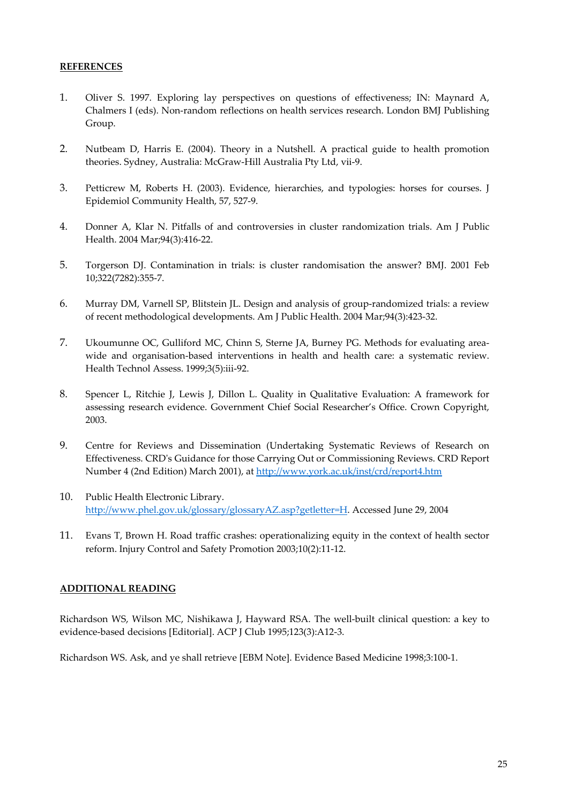#### **REFERENCES**

- 1. Oliver S. 1997. Exploring lay perspectives on questions of effectiveness; IN: Maynard A, Chalmers I (eds). Non‐random reflections on health services research. London BMJ Publishing Group.
- 2. Nutbeam D, Harris E. (2004). Theory in a Nutshell. A practical guide to health promotion theories. Sydney, Australia: McGraw‐Hill Australia Pty Ltd, vii‐9.
- 3. Petticrew M, Roberts H. (2003). Evidence, hierarchies, and typologies: horses for courses. J Epidemiol Community Health, 57, 527‐9.
- 4. Donner A, Klar N. Pitfalls of and controversies in cluster randomization trials. Am J Public Health. 2004 Mar;94(3):416‐22.
- 5. Torgerson DJ. Contamination in trials: is cluster randomisation the answer? BMJ. 2001 Feb 10;322(7282):355‐7.
- 6. Murray DM, Varnell SP, Blitstein JL. Design and analysis of group‐randomized trials: a review of recent methodological developments. Am J Public Health. 2004 Mar;94(3):423‐32.
- 7. Ukoumunne OC, Gulliford MC, Chinn S, Sterne JA, Burney PG. Methods for evaluating areawide and organisation-based interventions in health and health care: a systematic review. Health Technol Assess. 1999;3(5):iii-92.
- 8. Spencer L, Ritchie J, Lewis J, Dillon L. Quality in Qualitative Evaluation: A framework for assessing research evidence. Government Chief Social Researcher's Office. Crown Copyright, 2003.
- 9. Centre for Reviews and Dissemination (Undertaking Systematic Reviews of Research on Effectiveness. CRDʹs Guidance for those Carrying Out or Commissioning Reviews. CRD Report Number 4 (2nd Edition) March 2001), at http://www.york.ac.uk/inst/crd/report4.htm
- 10. Public Health Electronic Library. http://www.phel.gov.uk/glossary/glossaryAZ.asp?getletter=H. Accessed June 29, 2004
- 11. Evans T, Brown H. Road traffic crashes: operationalizing equity in the context of health sector reform. Injury Control and Safety Promotion 2003;10(2):11‐12.

#### **ADDITIONAL READING**

Richardson WS, Wilson MC, Nishikawa J, Hayward RSA. The well-built clinical question: a key to evidence‐based decisions [Editorial]. ACP J Club 1995;123(3):A12‐3.

Richardson WS. Ask, and ye shall retrieve [EBM Note]. Evidence Based Medicine 1998;3:100‐1.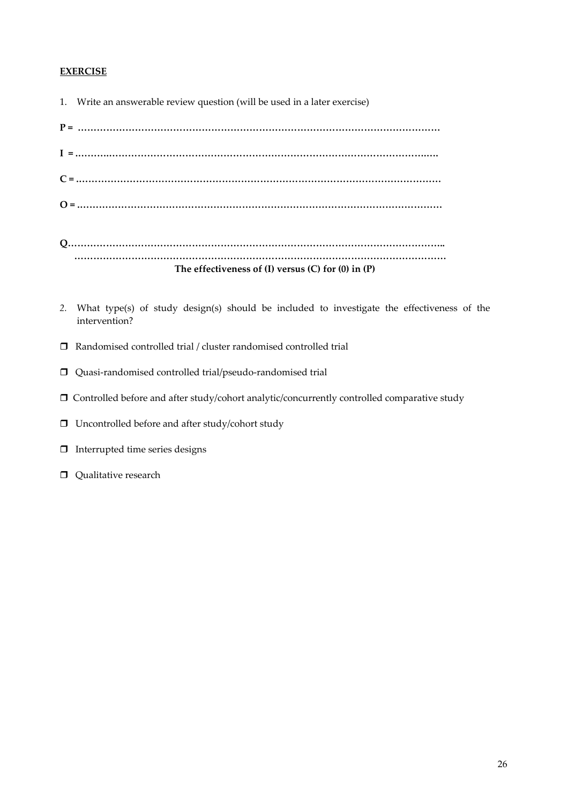# **EXERCISE**

| 1. Write an answerable review question (will be used in a later exercise) |
|---------------------------------------------------------------------------|
|                                                                           |
|                                                                           |
|                                                                           |
|                                                                           |
|                                                                           |
| The effectiveness of $(I)$ versus $(C)$ for $(0)$ in $(P)$                |

- *2.* What type(s) of study design(s) should be included to investigate the effectiveness of the intervention?
- $\hfill \Box$  Randomised controlled trial / cluster randomised controlled trial
- Quasi‐randomised controlled trial/pseudo‐randomised trial
- Controlled before and after study/cohort analytic/concurrently controlled comparative study
- $\Box$  Uncontrolled before and after study/cohort study
- Interrupted time series designs
- **Qualitative research**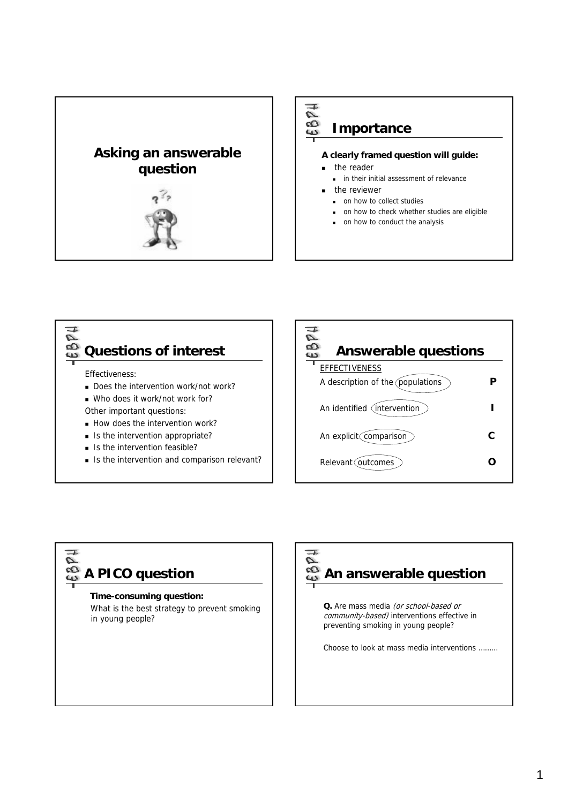

 $\sigma$ 63 **Importance**

#### **A clearly framed question will guide:**

- the reader
	- **in their initial assessment of relevance**
- the reviewer
	- on how to collect studies
	- on how to check whether studies are eligible
	- on how to conduct the analysis



Is the intervention and comparison relevant?



# $\bar{\mathcal{C}}$ **A PICO question**

#### **Time-consuming question:**

What is the best strategy to prevent smoking in young people?

# $\bar{\mathcal{C}}$ **An answerable question**

**Q.** Are mass media (or school-based or community-based) interventions effective in preventing smoking in young people?

Choose to look at mass media interventions ………